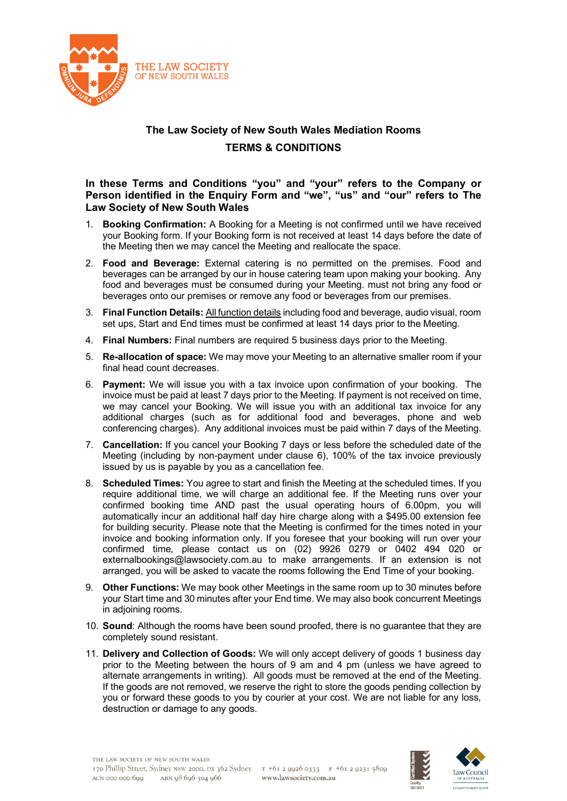

## **The Law Society of New South Wales Mediation Rooms TERMS & CONDITIONS**

## **In these Terms and Conditions "you" and "your" refers to the Company or Person identified in the Enquiry Form and "we", "us" and "our" refers to The Law Society of New South Wales**

- 1. **Booking Confirmation:** A Booking for a Meeting is not confirmed until we have received your Booking form. If your Booking form is not received at least 14 days before the date of the Meeting then we may cancel the Meeting and reallocate the space.
- 2. **Food and Beverage:** External catering is no permitted on the premises. Food and beverages can be arranged by our in house catering team upon making your booking. Any food and beverages must be consumed during your Meeting. must not bring any food or beverages onto our premises or remove any food or beverages from our premises.
- 3. **Final Function Details:** All function details including food and beverage, audio visual, room set ups, Start and End times must be confirmed at least 14 days prior to the Meeting.
- 4. **Final Numbers:** Final numbers are required 5 business days prior to the Meeting.
- 5. **Re-allocation of space:** We may move your Meeting to an alternative smaller room if your final head count decreases.
- 6. **Payment:** We will issue you with a tax invoice upon confirmation of your booking. The invoice must be paid at least 7 days prior to the Meeting. If payment is not received on time, we may cancel your Booking. We will issue you with an additional tax invoice for any additional charges (such as for additional food and beverages, phone and web conferencing charges). Any additional invoices must be paid within 7 days of the Meeting.
- 7. **Cancellation:** If you cancel your Booking 7 days or less before the scheduled date of the Meeting (including by non-payment under clause 6), 100% of the tax invoice previously issued by us is payable by you as a cancellation fee.
- 8. **Scheduled Times:** You agree to start and finish the Meeting at the scheduled times. If you require additional time, we will charge an additional fee. If the Meeting runs over your confirmed booking time AND past the usual operating hours of 6.00pm, you will automatically incur an additional half day hire charge along with a \$495.00 extension fee for building security. Please note that the Meeting is confirmed for the times noted in your invoice and booking information only. If you foresee that your booking will run over your confirmed time, please contact us on (02) 9926 0279 or 0402 494 020 or externalbookings@lawsociety.com.au to make arrangements. If an extension is not arranged, you will be asked to vacate the rooms following the End Time of your booking.
- 9. **Other Functions:** We may book other Meetings in the same room up to 30 minutes before your Start time and 30 minutes after your End time. We may also book concurrent Meetings in adjoining rooms.
- 10. **Sound**: Although the rooms have been sound proofed, there is no guarantee that they are completely sound resistant.
- 11. **Delivery and Collection of Goods:** We will only accept delivery of goods 1 business day prior to the Meeting between the hours of 9 am and 4 pm (unless we have agreed to alternate arrangements in writing). All goods must be removed at the end of the Meeting. If the goods are not removed, we reserve the right to store the goods pending collection by you or forward these goods to you by courier at your cost. We are not liable for any loss, destruction or damage to any goods.